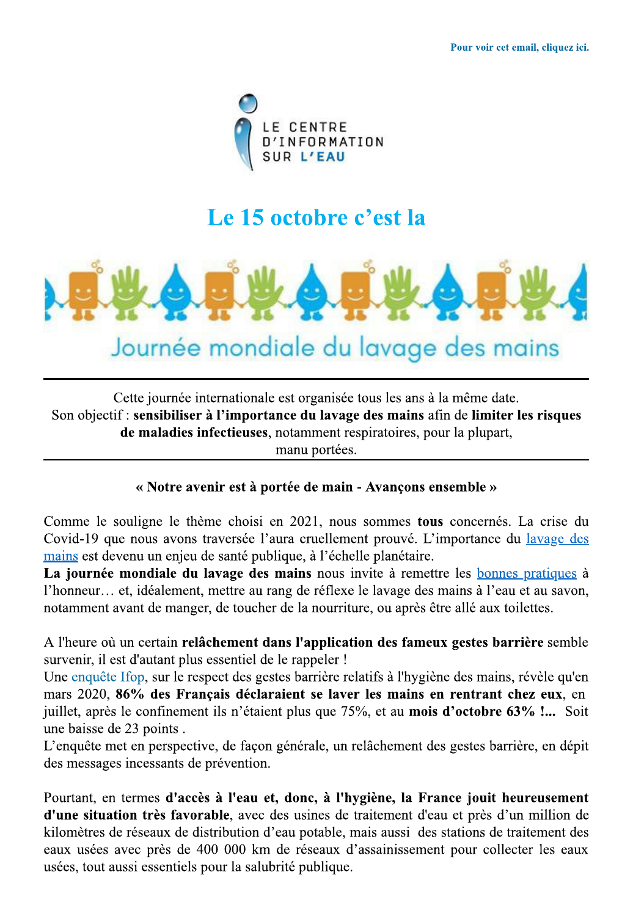

## Le 15 octobre c'est la



Cette journée internationale est organisée tous les ans à la même date. Son objectif : sensibiliser à l'importance du lavage des mains afin de limiter les risques de maladies infectieuses, notamment respiratoires, pour la plupart, manu portées.

## « Notre avenir est à portée de main - Avançons ensemble »

Comme le souligne le thème choisi en 2021, nous sommes tous concernés. La crise du Covid-19 que nous avons traversée l'aura cruellement prouvé. L'importance du lavage des mains est devenu un enjeu de santé publique, à l'échelle planétaire.

La journée mondiale du lavage des mains nous invite à remettre les bonnes pratiques à l'honneur... et, idéalement, mettre au rang de réflexe le lavage des mains à l'eau et au savon, notamment avant de manger, de toucher de la nourriture, ou après être allé aux toilettes.

A l'heure où un certain relâchement dans l'application des fameux gestes barrière semble survenir, il est d'autant plus essentiel de le rappeler !

Une enquête Ifop, sur le respect des gestes barrière relatifs à l'hygiène des mains, révèle qu'en mars 2020, 86% des Français déclaraient se laver les mains en rentrant chez eux, en juillet, après le confinement ils n'étaient plus que 75%, et au mois d'octobre 63% !... Soit une baisse de 23 points.

L'enquête met en perspective, de façon générale, un relâchement des gestes barrière, en dépit des messages incessants de prévention.

Pourtant, en termes d'accès à l'eau et, donc, à l'hygiène, la France jouit heureusement d'une situation très favorable, avec des usines de traitement d'eau et près d'un million de kilomètres de réseaux de distribution d'eau potable, mais aussi des stations de traitement des eaux usées avec près de 400 000 km de réseaux d'assainissement pour collecter les eaux usées, tout aussi essentiels pour la salubrité publique.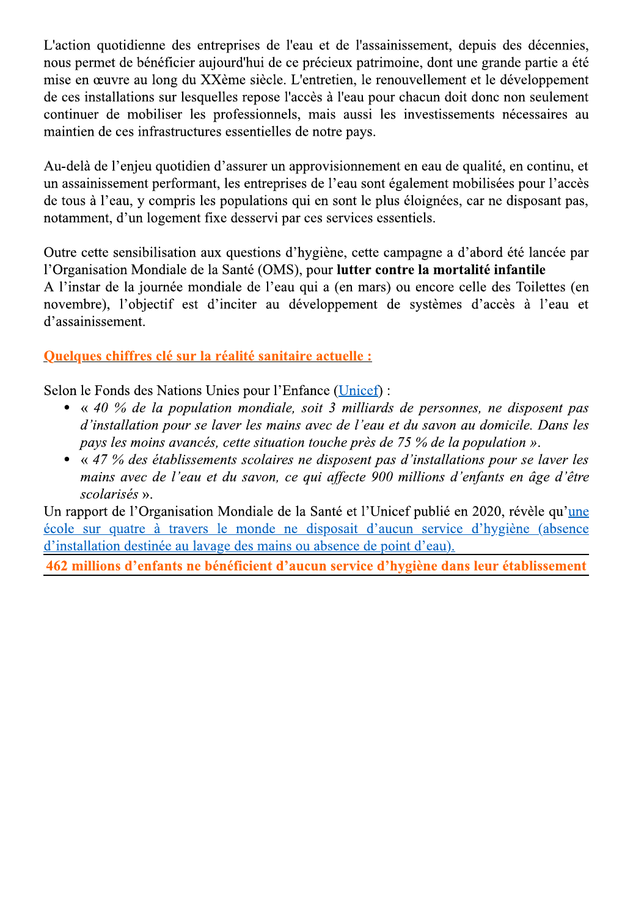L'action quotidienne des entreprises de l'eau et de l'assainissement, depuis des décennies, nous permet de bénéficier aujourd'hui de ce précieux patrimoine, dont une grande partie a été mise en œuvre au long du XXème siècle. L'entretien, le renouvellement et le développement de ces installations sur lesquelles repose l'accès à l'eau pour chacun doit donc non seulement continuer de mobiliser les professionnels, mais aussi les investissements nécessaires au maintien de ces infrastructures essentielles de notre pays.

Au-delà de l'enjeu quotidien d'assurer un approvisionnement en eau de qualité, en continu, et un assainissement performant, les entreprises de l'eau sont également mobilisées pour l'accès de tous à l'eau, y compris les populations qui en sont le plus éloignées, car ne disposant pas, notamment, d'un logement fixe desservi par ces services essentiels.

Outre cette sensibilisation aux questions d'hygiène, cette campagne a d'abord été lancée par l'Organisation Mondiale de la Santé (OMS), pour lutter contre la mortalité infantile A l'instar de la journée mondiale de l'eau qui a (en mars) ou encore celle des Toilettes (en novembre), l'objectif est d'inciter au développement de systèmes d'accès à l'eau et d'assainissement.

## Quelques chiffres clé sur la réalité sanitaire actuelle :

Selon le Fonds des Nations Unies pour l'Enfance (Unicef) :

- $\ll$  40 % de la population mondiale, soit 3 milliards de personnes, ne disposent pas d'installation pour se laver les mains avec de l'eau et du savon au domicile. Dans les pays les moins avancés, cette situation touche près de 75 % de la population ».
- $\bullet$ « 47 % des établissements scolaires ne disposent pas d'installations pour se laver les mains avec de l'eau et du savon, ce qui affecte 900 millions d'enfants en âge d'être scolarisés».

Un rapport de l'Organisation Mondiale de la Santé et l'Unicef publié en 2020, révèle qu'une école sur quatre à travers le monde ne disposait d'aucun service d'hygiène (absence d'installation destinée au lavage des mains ou absence de point d'eau).

462 millions d'enfants ne bénéficient d'aucun service d'hygiène dans leur établissement